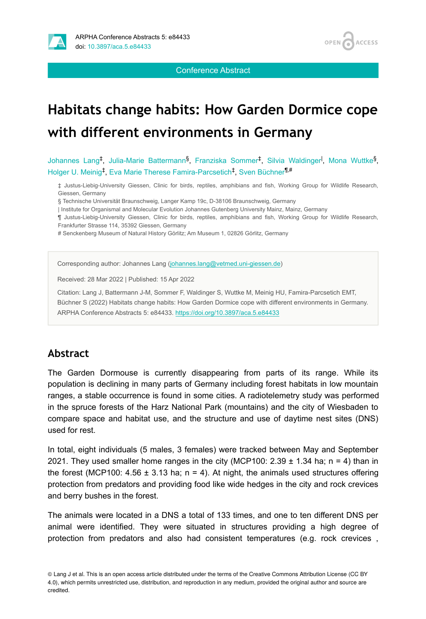

**OPEN ACCESS** 

Conference Abstract

# **Habitats change habits: How Garden Dormice cope with different environments in Germany**

Johannes Lang<sup>‡</sup>, Julia-Marie Battermann<sup>§</sup>, Franziska Sommer<sup>‡</sup>, Silvia Waldinger<sup>I</sup>, Mona Wuttke<sup>§</sup>, Holger U. Meinig<sup>t</sup>, Eva Marie Therese Famira-Parcsetich<sup>t</sup>, Sven Büchner<sup>¶,#</sup>

‡ Justus-Liebig-University Giessen, Clinic for birds, reptiles, amphibians and fish, Working Group for Wildlife Research, Giessen, Germany

§ Technische Universität Braunschweig, Langer Kamp 19c, D-38106 Braunschweig, Germany

| Institute for Organismal and Molecular Evolution Johannes Gutenberg University Mainz, Mainz, Germany

¶ Justus-Liebig-University Giessen, Clinic for birds, reptiles, amphibians and fish, Working Group for Wildlife Research, Frankfurter Strasse 114, 35392 Giessen, Germany

# Senckenberg Museum of Natural History Görlitz; Am Museum 1, 02826 Görlitz, Germany

Corresponding author: Johannes Lang ([johannes.lang@vetmed.uni-giessen.de\)](mailto:johannes.lang@vetmed.uni-giessen.de)

Received: 28 Mar 2022 | Published: 15 Apr 2022

Citation: Lang J, Battermann J-M, Sommer F, Waldinger S, Wuttke M, Meinig HU, Famira-Parcsetich EMT, Büchner S (2022) Habitats change habits: How Garden Dormice cope with different environments in Germany. ARPHA Conference Abstracts 5: e84433. <https://doi.org/10.3897/aca.5.e84433>

#### **Abstract**

The Garden Dormouse is currently disappearing from parts of its range. While its population is declining in many parts of Germany including forest habitats in low mountain ranges, a stable occurrence is found in some cities. A radiotelemetry study was performed in the spruce forests of the Harz National Park (mountains) and the city of Wiesbaden to compare space and habitat use, and the structure and use of daytime nest sites (DNS) used for rest.

In total, eight individuals (5 males, 3 females) were tracked between May and September 2021. They used smaller home ranges in the city (MCP100:  $2.39 \pm 1.34$  ha; n = 4) than in the forest (MCP100:  $4.56 \pm 3.13$  ha; n = 4). At night, the animals used structures offering protection from predators and providing food like wide hedges in the city and rock crevices and berry bushes in the forest.

The animals were located in a DNS a total of 133 times, and one to ten different DNS per animal were identified. They were situated in structures providing a high degree of protection from predators and also had consistent temperatures (e.g. rock crevices ,

© Lang J et al. This is an open access article distributed under the terms of the Creative Commons Attribution License (CC BY 4.0), which permits unrestricted use, distribution, and reproduction in any medium, provided the original author and source are credited.